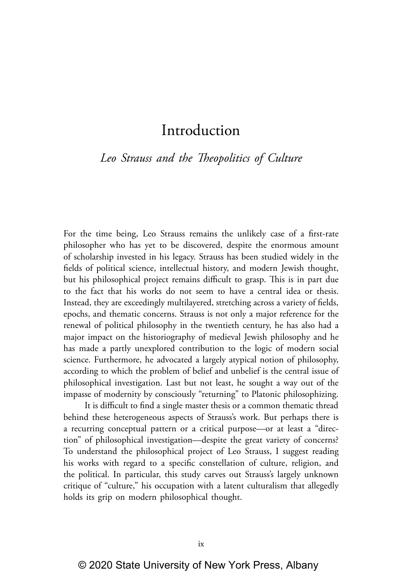# Introduction

# *Leo Strauss and the Theopolitics of Culture*

For the time being, Leo Strauss remains the unlikely case of a first-rate philosopher who has yet to be discovered, despite the enormous amount of scholarship invested in his legacy. Strauss has been studied widely in the fields of political science, intellectual history, and modern Jewish thought, but his philosophical project remains difficult to grasp. This is in part due to the fact that his works do not seem to have a central idea or thesis. Instead, they are exceedingly multilayered, stretching across a variety of fields, epochs, and thematic concerns. Strauss is not only a major reference for the renewal of political philosophy in the twentieth century, he has also had a major impact on the historiography of medieval Jewish philosophy and he has made a partly unexplored contribution to the logic of modern social science. Furthermore, he advocated a largely atypical notion of philosophy, according to which the problem of belief and unbelief is the central issue of philosophical investigation. Last but not least, he sought a way out of the impasse of modernity by consciously "returning" to Platonic philosophizing.

It is difficult to find a single master thesis or a common thematic thread behind these heterogeneous aspects of Strauss's work. But perhaps there is a recurring conceptual pattern or a critical purpose—or at least a "direction" of philosophical investigation—despite the great variety of concerns? To understand the philosophical project of Leo Strauss, I suggest reading his works with regard to a specific constellation of culture, religion, and the political. In particular, this study carves out Strauss's largely unknown critique of "culture," his occupation with a latent culturalism that allegedly holds its grip on modern philosophical thought.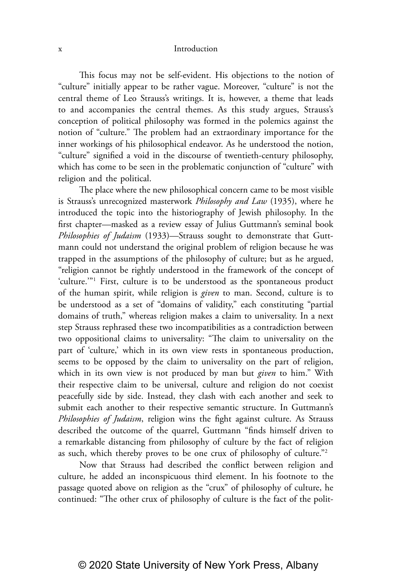#### x Introduction

This focus may not be self-evident. His objections to the notion of "culture" initially appear to be rather vague. Moreover, "culture" is not the central theme of Leo Strauss's writings. It is, however, a theme that leads to and accompanies the central themes. As this study argues, Strauss's conception of political philosophy was formed in the polemics against the notion of "culture." The problem had an extraordinary importance for the inner workings of his philosophical endeavor. As he understood the notion, "culture" signified a void in the discourse of twentieth-century philosophy, which has come to be seen in the problematic conjunction of "culture" with religion and the political.

The place where the new philosophical concern came to be most visible is Strauss's unrecognized masterwork *Philosophy and Law* (1935), where he introduced the topic into the historiography of Jewish philosophy. In the first chapter—masked as a review essay of Julius Guttmann's seminal book *Philosophies of Judaism* (1933)—Strauss sought to demonstrate that Guttmann could not understand the original problem of religion because he was trapped in the assumptions of the philosophy of culture; but as he argued, "religion cannot be rightly understood in the framework of the concept of 'culture.'"1 First, culture is to be understood as the spontaneous product of the human spirit, while religion is *given* to man. Second, culture is to be understood as a set of "domains of validity," each constituting "partial domains of truth," whereas religion makes a claim to universality. In a next step Strauss rephrased these two incompatibilities as a contradiction between two oppositional claims to universality: "The claim to universality on the part of 'culture,' which in its own view rests in spontaneous production, seems to be opposed by the claim to universality on the part of religion, which in its own view is not produced by man but *given* to him." With their respective claim to be universal, culture and religion do not coexist peacefully side by side. Instead, they clash with each another and seek to submit each another to their respective semantic structure. In Guttmann's *Philosophies of Judaism*, religion wins the fight against culture. As Strauss described the outcome of the quarrel, Guttmann "finds himself driven to a remarkable distancing from philosophy of culture by the fact of religion as such, which thereby proves to be one crux of philosophy of culture."2

Now that Strauss had described the conflict between religion and culture, he added an inconspicuous third element. In his footnote to the passage quoted above on religion as the "crux" of philosophy of culture, he continued: "The other crux of philosophy of culture is the fact of the polit-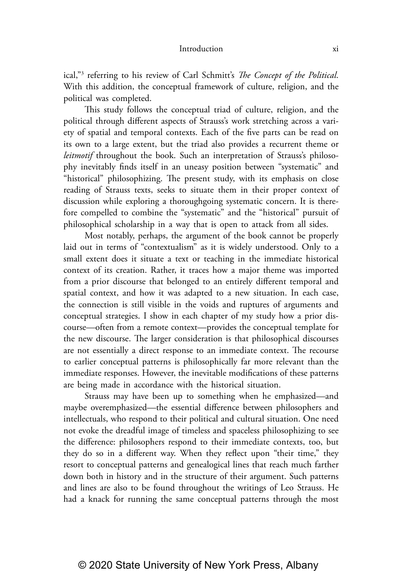#### Introduction xi

ical,"3 referring to his review of Carl Schmitt's *The Concept of the Political*. With this addition, the conceptual framework of culture, religion, and the political was completed.

This study follows the conceptual triad of culture, religion, and the political through different aspects of Strauss's work stretching across a variety of spatial and temporal contexts. Each of the five parts can be read on its own to a large extent, but the triad also provides a recurrent theme or *leitmotif* throughout the book. Such an interpretation of Strauss's philosophy inevitably finds itself in an uneasy position between "systematic" and "historical" philosophizing. The present study, with its emphasis on close reading of Strauss texts, seeks to situate them in their proper context of discussion while exploring a thoroughgoing systematic concern. It is therefore compelled to combine the "systematic" and the "historical" pursuit of philosophical scholarship in a way that is open to attack from all sides.

Most notably, perhaps, the argument of the book cannot be properly laid out in terms of "contextualism" as it is widely understood. Only to a small extent does it situate a text or teaching in the immediate historical context of its creation. Rather, it traces how a major theme was imported from a prior discourse that belonged to an entirely different temporal and spatial context, and how it was adapted to a new situation. In each case, the connection is still visible in the voids and ruptures of arguments and conceptual strategies. I show in each chapter of my study how a prior discourse—often from a remote context—provides the conceptual template for the new discourse. The larger consideration is that philosophical discourses are not essentially a direct response to an immediate context. The recourse to earlier conceptual patterns is philosophically far more relevant than the immediate responses. However, the inevitable modifications of these patterns are being made in accordance with the historical situation.

Strauss may have been up to something when he emphasized—and maybe overemphasized—the essential difference between philosophers and intellectuals, who respond to their political and cultural situation. One need not evoke the dreadful image of timeless and spaceless philosophizing to see the difference: philosophers respond to their immediate contexts, too, but they do so in a different way. When they reflect upon "their time," they resort to conceptual patterns and genealogical lines that reach much farther down both in history and in the structure of their argument. Such patterns and lines are also to be found throughout the writings of Leo Strauss. He had a knack for running the same conceptual patterns through the most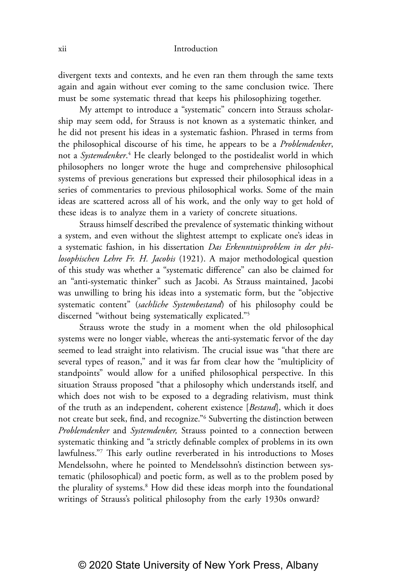#### xii Introduction

divergent texts and contexts, and he even ran them through the same texts again and again without ever coming to the same conclusion twice. There must be some systematic thread that keeps his philosophizing together.

My attempt to introduce a "systematic" concern into Strauss scholarship may seem odd, for Strauss is not known as a systematic thinker, and he did not present his ideas in a systematic fashion. Phrased in terms from the philosophical discourse of his time, he appears to be a *Problemdenker*, not a *Systemdenker*. 4 He clearly belonged to the postidealist world in which philosophers no longer wrote the huge and comprehensive philosophical systems of previous generations but expressed their philosophical ideas in a series of commentaries to previous philosophical works. Some of the main ideas are scattered across all of his work, and the only way to get hold of these ideas is to analyze them in a variety of concrete situations.

Strauss himself described the prevalence of systematic thinking without a system, and even without the slightest attempt to explicate one's ideas in a systematic fashion, in his dissertation *Das Erkenntnisproblem in der philosophischen Lehre Fr. H. Jacobis* (1921). A major methodological question of this study was whether a "systematic difference" can also be claimed for an "anti-systematic thinker" such as Jacobi. As Strauss maintained, Jacobi was unwilling to bring his ideas into a systematic form, but the "objective systematic content" (*sachliche Systembestand*) of his philosophy could be discerned "without being systematically explicated."5

Strauss wrote the study in a moment when the old philosophical systems were no longer viable, whereas the anti-systematic fervor of the day seemed to lead straight into relativism. The crucial issue was "that there are several types of reason," and it was far from clear how the "multiplicity of standpoints" would allow for a unified philosophical perspective. In this situation Strauss proposed "that a philosophy which understands itself, and which does not wish to be exposed to a degrading relativism, must think of the truth as an independent, coherent existence [*Bestand*], which it does not create but seek, find, and recognize."6 Subverting the distinction between *Problemdenker* and *Systemdenker,* Strauss pointed to a connection between systematic thinking and "a strictly definable complex of problems in its own lawfulness."7 This early outline reverberated in his introductions to Moses Mendelssohn, where he pointed to Mendelssohn's distinction between systematic (philosophical) and poetic form, as well as to the problem posed by the plurality of systems.<sup>8</sup> How did these ideas morph into the foundational writings of Strauss's political philosophy from the early 1930s onward?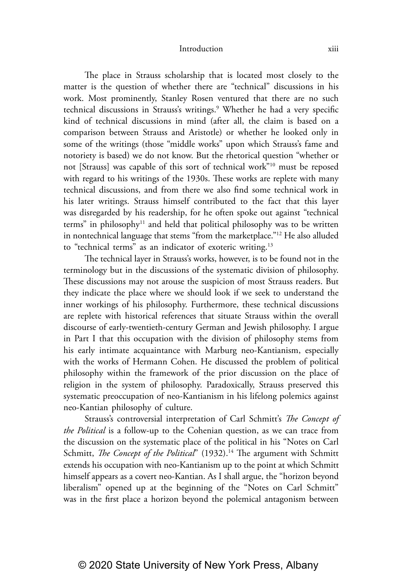### Introduction xiii

The place in Strauss scholarship that is located most closely to the matter is the question of whether there are "technical" discussions in his work. Most prominently, Stanley Rosen ventured that there are no such technical discussions in Strauss's writings.<sup>9</sup> Whether he had a very specific kind of technical discussions in mind (after all, the claim is based on a comparison between Strauss and Aristotle) or whether he looked only in some of the writings (those "middle works" upon which Strauss's fame and notoriety is based) we do not know. But the rhetorical question "whether or not [Strauss] was capable of this sort of technical work"10 must be reposed with regard to his writings of the 1930s. These works are replete with many technical discussions, and from there we also find some technical work in his later writings. Strauss himself contributed to the fact that this layer was disregarded by his readership, for he often spoke out against "technical terms" in philosophy<sup>11</sup> and held that political philosophy was to be written in nontechnical language that stems "from the marketplace."12 He also alluded to "technical terms" as an indicator of exoteric writing.13

The technical layer in Strauss's works, however, is to be found not in the terminology but in the discussions of the systematic division of philosophy. These discussions may not arouse the suspicion of most Strauss readers. But they indicate the place where we should look if we seek to understand the inner workings of his philosophy. Furthermore, these technical discussions are replete with historical references that situate Strauss within the overall discourse of early-twentieth-century German and Jewish philosophy. I argue in Part I that this occupation with the division of philosophy stems from his early intimate acquaintance with Marburg neo-Kantianism, especially with the works of Hermann Cohen. He discussed the problem of political philosophy within the framework of the prior discussion on the place of religion in the system of philosophy. Paradoxically, Strauss preserved this systematic preoccupation of neo-Kantianism in his lifelong polemics against neo-Kantian philosophy of culture.

Strauss's controversial interpretation of Carl Schmitt's *The Concept of the Political* is a follow-up to the Cohenian question, as we can trace from the discussion on the systematic place of the political in his "Notes on Carl Schmitt, *The Concept of the Political*" (1932).<sup>14</sup> The argument with Schmitt extends his occupation with neo-Kantianism up to the point at which Schmitt himself appears as a covert neo-Kantian. As I shall argue, the "horizon beyond liberalism" opened up at the beginning of the "Notes on Carl Schmitt" was in the first place a horizon beyond the polemical antagonism between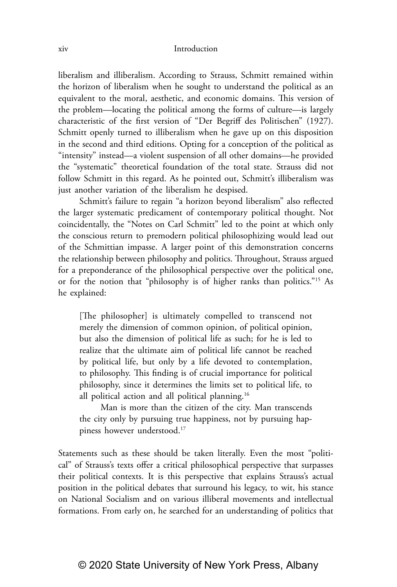#### xiv Introduction

liberalism and illiberalism. According to Strauss, Schmitt remained within the horizon of liberalism when he sought to understand the political as an equivalent to the moral, aesthetic, and economic domains. This version of the problem—locating the political among the forms of culture—is largely characteristic of the first version of "Der Begriff des Politischen" (1927). Schmitt openly turned to illiberalism when he gave up on this disposition in the second and third editions. Opting for a conception of the political as "intensity" instead—a violent suspension of all other domains—he provided the "systematic" theoretical foundation of the total state. Strauss did not follow Schmitt in this regard. As he pointed out, Schmitt's illiberalism was just another variation of the liberalism he despised.

Schmitt's failure to regain "a horizon beyond liberalism" also reflected the larger systematic predicament of contemporary political thought. Not coincidentally, the "Notes on Carl Schmitt" led to the point at which only the conscious return to premodern political philosophizing would lead out of the Schmittian impasse. A larger point of this demonstration concerns the relationship between philosophy and politics. Throughout, Strauss argued for a preponderance of the philosophical perspective over the political one, or for the notion that "philosophy is of higher ranks than politics."15 As he explained:

[The philosopher] is ultimately compelled to transcend not merely the dimension of common opinion, of political opinion, but also the dimension of political life as such; for he is led to realize that the ultimate aim of political life cannot be reached by political life, but only by a life devoted to contemplation, to philosophy. This finding is of crucial importance for political philosophy, since it determines the limits set to political life, to all political action and all political planning.16

Man is more than the citizen of the city. Man transcends the city only by pursuing true happiness, not by pursuing happiness however understood.17

Statements such as these should be taken literally. Even the most "political" of Strauss's texts offer a critical philosophical perspective that surpasses their political contexts. It is this perspective that explains Strauss's actual position in the political debates that surround his legacy, to wit, his stance on National Socialism and on various illiberal movements and intellectual formations. From early on, he searched for an understanding of politics that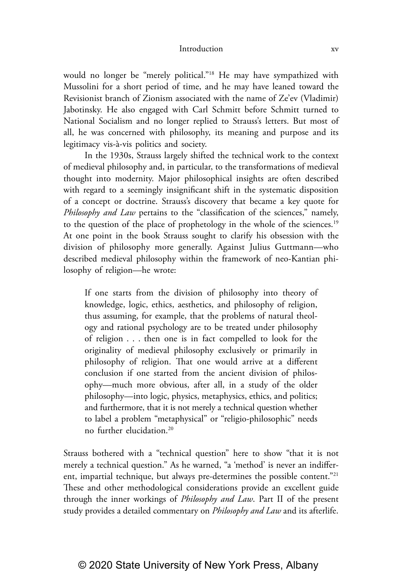#### Introduction xv

would no longer be "merely political."<sup>18</sup> He may have sympathized with Mussolini for a short period of time, and he may have leaned toward the Revisionist branch of Zionism associated with the name of Ze'ev (Vladimir) Jabotinsky. He also engaged with Carl Schmitt before Schmitt turned to National Socialism and no longer replied to Strauss's letters. But most of all, he was concerned with philosophy, its meaning and purpose and its legitimacy vis-à-vis politics and society.

In the 1930s, Strauss largely shifted the technical work to the context of medieval philosophy and, in particular, to the transformations of medieval thought into modernity. Major philosophical insights are often described with regard to a seemingly insignificant shift in the systematic disposition of a concept or doctrine. Strauss's discovery that became a key quote for *Philosophy and Law* pertains to the "classification of the sciences," namely, to the question of the place of prophetology in the whole of the sciences.19 At one point in the book Strauss sought to clarify his obsession with the division of philosophy more generally. Against Julius Guttmann—who described medieval philosophy within the framework of neo-Kantian philosophy of religion—he wrote:

If one starts from the division of philosophy into theory of knowledge, logic, ethics, aesthetics, and philosophy of religion, thus assuming, for example, that the problems of natural theology and rational psychology are to be treated under philosophy of religion . . . then one is in fact compelled to look for the originality of medieval philosophy exclusively or primarily in philosophy of religion. That one would arrive at a different conclusion if one started from the ancient division of philosophy—much more obvious, after all, in a study of the older philosophy—into logic, physics, metaphysics, ethics, and politics; and furthermore, that it is not merely a technical question whether to label a problem "metaphysical" or "religio-philosophic" needs no further elucidation.20

Strauss bothered with a "technical question" here to show "that it is not merely a technical question." As he warned, "a 'method' is never an indifferent, impartial technique, but always pre-determines the possible content."<sup>21</sup> These and other methodological considerations provide an excellent guide through the inner workings of *Philosophy and Law*. Part II of the present study provides a detailed commentary on *Philosophy and Law* and its afterlife.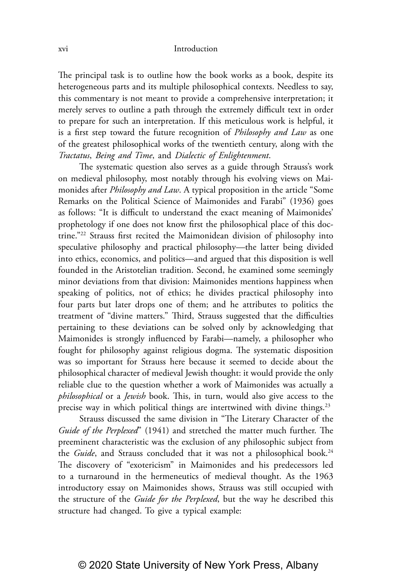#### xvi Introduction

The principal task is to outline how the book works as a book, despite its heterogeneous parts and its multiple philosophical contexts. Needless to say, this commentary is not meant to provide a comprehensive interpretation; it merely serves to outline a path through the extremely difficult text in order to prepare for such an interpretation. If this meticulous work is helpful, it is a first step toward the future recognition of *Philosophy and Law* as one of the greatest philosophical works of the twentieth century, along with the *Tractatus*, *Being and Time*, and *Dialectic of Enlightenment*.

The systematic question also serves as a guide through Strauss's work on medieval philosophy, most notably through his evolving views on Maimonides after *Philosophy and Law*. A typical proposition in the article "Some Remarks on the Political Science of Maimonides and Farabi" (1936) goes as follows: "It is difficult to understand the exact meaning of Maimonides' prophetology if one does not know first the philosophical place of this doctrine."22 Strauss first recited the Maimonidean division of philosophy into speculative philosophy and practical philosophy—the latter being divided into ethics, economics, and politics—and argued that this disposition is well founded in the Aristotelian tradition. Second, he examined some seemingly minor deviations from that division: Maimonides mentions happiness when speaking of politics, not of ethics; he divides practical philosophy into four parts but later drops one of them; and he attributes to politics the treatment of "divine matters." Third, Strauss suggested that the difficulties pertaining to these deviations can be solved only by acknowledging that Maimonides is strongly influenced by Farabi—namely, a philosopher who fought for philosophy against religious dogma. The systematic disposition was so important for Strauss here because it seemed to decide about the philosophical character of medieval Jewish thought: it would provide the only reliable clue to the question whether a work of Maimonides was actually a *philosophical* or a *Jewish* book. This, in turn, would also give access to the precise way in which political things are intertwined with divine things.<sup>23</sup>

Strauss discussed the same division in "The Literary Character of the *Guide of the Perplexed*" (1941) and stretched the matter much further. The preeminent characteristic was the exclusion of any philosophic subject from the *Guide*, and Strauss concluded that it was not a philosophical book.<sup>24</sup> The discovery of "exotericism" in Maimonides and his predecessors led to a turnaround in the hermeneutics of medieval thought. As the 1963 introductory essay on Maimonides shows, Strauss was still occupied with the structure of the *Guide for the Perplexed*, but the way he described this structure had changed. To give a typical example: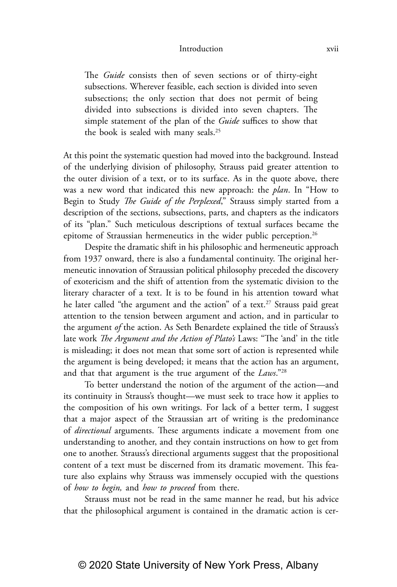### Introduction xvii

The *Guide* consists then of seven sections or of thirty-eight subsections. Wherever feasible, each section is divided into seven subsections; the only section that does not permit of being divided into subsections is divided into seven chapters. The simple statement of the plan of the *Guide* suffices to show that the book is sealed with many seals.<sup>25</sup>

At this point the systematic question had moved into the background. Instead of the underlying division of philosophy, Strauss paid greater attention to the outer division of a text, or to its surface. As in the quote above, there was a new word that indicated this new approach: the *plan*. In "How to Begin to Study *The Guide of the Perplexed*," Strauss simply started from a description of the sections, subsections, parts, and chapters as the indicators of its "plan." Such meticulous descriptions of textual surfaces became the epitome of Straussian hermeneutics in the wider public perception.<sup>26</sup>

Despite the dramatic shift in his philosophic and hermeneutic approach from 1937 onward, there is also a fundamental continuity. The original hermeneutic innovation of Straussian political philosophy preceded the discovery of exotericism and the shift of attention from the systematic division to the literary character of a text. It is to be found in his attention toward what he later called "the argument and the action" of a text.<sup>27</sup> Strauss paid great attention to the tension between argument and action, and in particular to the argument *of* the action. As Seth Benardete explained the title of Strauss's late work *The Argument and the Action of Plato's* Laws: "The 'and' in the title is misleading; it does not mean that some sort of action is represented while the argument is being developed; it means that the action has an argument, and that that argument is the true argument of the *Laws*."28

To better understand the notion of the argument of the action—and its continuity in Strauss's thought—we must seek to trace how it applies to the composition of his own writings. For lack of a better term, I suggest that a major aspect of the Straussian art of writing is the predominance of *directional* arguments. These arguments indicate a movement from one understanding to another, and they contain instructions on how to get from one to another. Strauss's directional arguments suggest that the propositional content of a text must be discerned from its dramatic movement. This feature also explains why Strauss was immensely occupied with the questions of *how to begin,* and *how to proceed* from there.

Strauss must not be read in the same manner he read, but his advice that the philosophical argument is contained in the dramatic action is cer-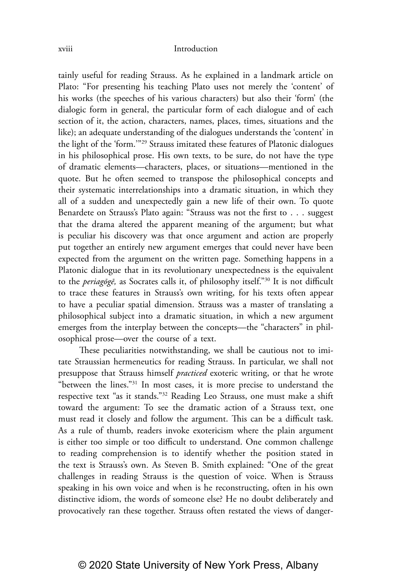#### xviii Introduction

tainly useful for reading Strauss. As he explained in a landmark article on Plato: "For presenting his teaching Plato uses not merely the 'content' of his works (the speeches of his various characters) but also their 'form' (the dialogic form in general, the particular form of each dialogue and of each section of it, the action, characters, names, places, times, situations and the like); an adequate understanding of the dialogues understands the 'content' in the light of the 'form.'"29 Strauss imitated these features of Platonic dialogues in his philosophical prose. His own texts, to be sure, do not have the type of dramatic elements—characters, places, or situations—mentioned in the quote. But he often seemed to transpose the philosophical concepts and their systematic interrelationships into a dramatic situation, in which they all of a sudden and unexpectedly gain a new life of their own. To quote Benardete on Strauss's Plato again: "Strauss was not the first to . . . suggest that the drama altered the apparent meaning of the argument; but what is peculiar his discovery was that once argument and action are properly put together an entirely new argument emerges that could never have been expected from the argument on the written page. Something happens in a Platonic dialogue that in its revolutionary unexpectedness is the equivalent to the *periagōgē,* as Socrates calls it, of philosophy itself."30 It is not difficult to trace these features in Strauss's own writing, for his texts often appear to have a peculiar spatial dimension. Strauss was a master of translating a philosophical subject into a dramatic situation, in which a new argument emerges from the interplay between the concepts—the "characters" in philosophical prose—over the course of a text.

These peculiarities notwithstanding, we shall be cautious not to imitate Straussian hermeneutics for reading Strauss. In particular, we shall not presuppose that Strauss himself *practiced* exoteric writing, or that he wrote "between the lines."31 In most cases, it is more precise to understand the respective text "as it stands."32 Reading Leo Strauss, one must make a shift toward the argument: To see the dramatic action of a Strauss text, one must read it closely and follow the argument. This can be a difficult task. As a rule of thumb, readers invoke exotericism where the plain argument is either too simple or too difficult to understand. One common challenge to reading comprehension is to identify whether the position stated in the text is Strauss's own. As Steven B. Smith explained: "One of the great challenges in reading Strauss is the question of voice. When is Strauss speaking in his own voice and when is he reconstructing, often in his own distinctive idiom, the words of someone else? He no doubt deliberately and provocatively ran these together. Strauss often restated the views of danger-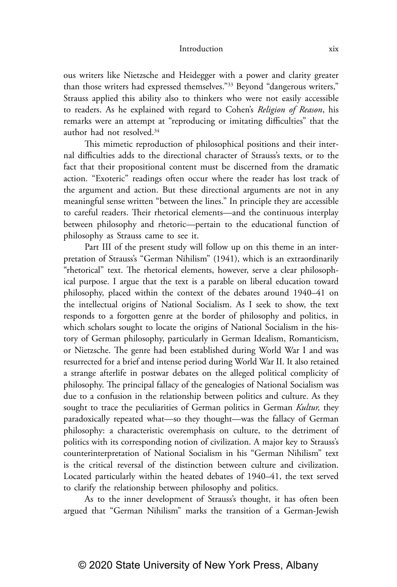#### Introduction xix

ous writers like Nietzsche and Heidegger with a power and clarity greater than those writers had expressed themselves."33 Beyond "dangerous writers," Strauss applied this ability also to thinkers who were not easily accessible to readers. As he explained with regard to Cohen's *Religion of Reason*, his remarks were an attempt at "reproducing or imitating difficulties" that the author had not resolved.<sup>34</sup>

This mimetic reproduction of philosophical positions and their internal difficulties adds to the directional character of Strauss's texts, or to the fact that their propositional content must be discerned from the dramatic action. "Exoteric" readings often occur where the reader has lost track of the argument and action. But these directional arguments are not in any meaningful sense written "between the lines." In principle they are accessible to careful readers. Their rhetorical elements—and the continuous interplay between philosophy and rhetoric—pertain to the educational function of philosophy as Strauss came to see it.

Part III of the present study will follow up on this theme in an interpretation of Strauss's "German Nihilism" (1941), which is an extraordinarily "rhetorical" text. The rhetorical elements, however, serve a clear philosophical purpose. I argue that the text is a parable on liberal education toward philosophy, placed within the context of the debates around 1940–41 on the intellectual origins of National Socialism. As I seek to show, the text responds to a forgotten genre at the border of philosophy and politics, in which scholars sought to locate the origins of National Socialism in the history of German philosophy, particularly in German Idealism, Romanticism, or Nietzsche. The genre had been established during World War I and was resurrected for a brief and intense period during World War II. It also retained a strange afterlife in postwar debates on the alleged political complicity of philosophy. The principal fallacy of the genealogies of National Socialism was due to a confusion in the relationship between politics and culture. As they sought to trace the peculiarities of German politics in German *Kultur,* they paradoxically repeated what—so they thought—was the fallacy of German philosophy: a characteristic overemphasis on culture, to the detriment of politics with its corresponding notion of civilization. A major key to Strauss's counterinterpretation of National Socialism in his "German Nihilism" text is the critical reversal of the distinction between culture and civilization. Located particularly within the heated debates of 1940–41, the text served to clarify the relationship between philosophy and politics.

As to the inner development of Strauss's thought, it has often been argued that "German Nihilism" marks the transition of a German-Jewish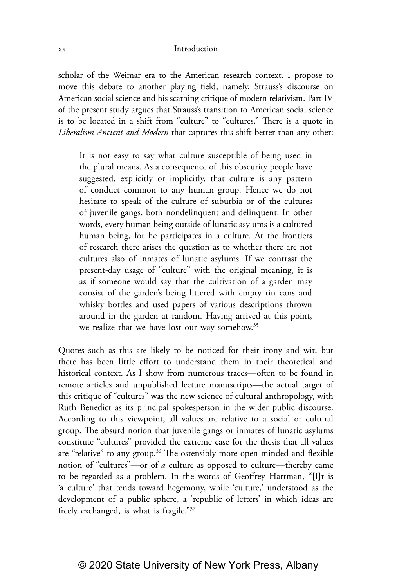#### xx Introduction

scholar of the Weimar era to the American research context. I propose to move this debate to another playing field, namely, Strauss's discourse on American social science and his scathing critique of modern relativism. Part IV of the present study argues that Strauss's transition to American social science is to be located in a shift from "culture" to "cultures." There is a quote in *Liberalism Ancient and Modern* that captures this shift better than any other:

It is not easy to say what culture susceptible of being used in the plural means. As a consequence of this obscurity people have suggested, explicitly or implicitly, that culture is any pattern of conduct common to any human group. Hence we do not hesitate to speak of the culture of suburbia or of the cultures of juvenile gangs, both nondelinquent and delinquent. In other words, every human being outside of lunatic asylums is a cultured human being, for he participates in a culture. At the frontiers of research there arises the question as to whether there are not cultures also of inmates of lunatic asylums. If we contrast the present-day usage of "culture" with the original meaning, it is as if someone would say that the cultivation of a garden may consist of the garden's being littered with empty tin cans and whisky bottles and used papers of various descriptions thrown around in the garden at random. Having arrived at this point, we realize that we have lost our way somehow.<sup>35</sup>

Quotes such as this are likely to be noticed for their irony and wit, but there has been little effort to understand them in their theoretical and historical context. As I show from numerous traces—often to be found in remote articles and unpublished lecture manuscripts—the actual target of this critique of "cultures" was the new science of cultural anthropology, with Ruth Benedict as its principal spokesperson in the wider public discourse. According to this viewpoint, all values are relative to a social or cultural group. The absurd notion that juvenile gangs or inmates of lunatic asylums constitute "cultures" provided the extreme case for the thesis that all values are "relative" to any group.<sup>36</sup> The ostensibly more open-minded and flexible notion of "cultures"—or of *a* culture as opposed to culture—thereby came to be regarded as a problem. In the words of Geoffrey Hartman, "[I]t is 'a culture' that tends toward hegemony, while 'culture,' understood as the development of a public sphere, a 'republic of letters' in which ideas are freely exchanged, is what is fragile."37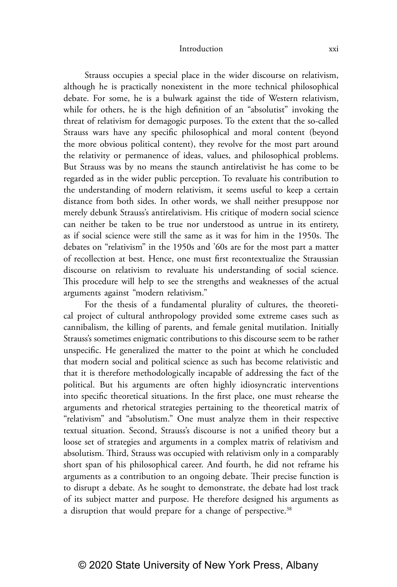### Introduction xxi

Strauss occupies a special place in the wider discourse on relativism, although he is practically nonexistent in the more technical philosophical debate. For some, he is a bulwark against the tide of Western relativism, while for others, he is the high definition of an "absolutist" invoking the threat of relativism for demagogic purposes. To the extent that the so-called Strauss wars have any specific philosophical and moral content (beyond the more obvious political content), they revolve for the most part around the relativity or permanence of ideas, values, and philosophical problems. But Strauss was by no means the staunch antirelativist he has come to be regarded as in the wider public perception. To revaluate his contribution to the understanding of modern relativism, it seems useful to keep a certain distance from both sides. In other words, we shall neither presuppose nor merely debunk Strauss's antirelativism. His critique of modern social science can neither be taken to be true nor understood as untrue in its entirety, as if social science were still the same as it was for him in the 1950s. The debates on "relativism" in the 1950s and '60s are for the most part a matter of recollection at best. Hence, one must first recontextualize the Straussian discourse on relativism to revaluate his understanding of social science. This procedure will help to see the strengths and weaknesses of the actual arguments against "modern relativism."

For the thesis of a fundamental plurality of cultures, the theoretical project of cultural anthropology provided some extreme cases such as cannibalism, the killing of parents, and female genital mutilation. Initially Strauss's sometimes enigmatic contributions to this discourse seem to be rather unspecific. He generalized the matter to the point at which he concluded that modern social and political science as such has become relativistic and that it is therefore methodologically incapable of addressing the fact of the political. But his arguments are often highly idiosyncratic interventions into specific theoretical situations. In the first place, one must rehearse the arguments and rhetorical strategies pertaining to the theoretical matrix of "relativism" and "absolutism." One must analyze them in their respective textual situation. Second, Strauss's discourse is not a unified theory but a loose set of strategies and arguments in a complex matrix of relativism and absolutism. Third, Strauss was occupied with relativism only in a comparably short span of his philosophical career. And fourth, he did not reframe his arguments as a contribution to an ongoing debate. Their precise function is to disrupt a debate. As he sought to demonstrate, the debate had lost track of its subject matter and purpose. He therefore designed his arguments as a disruption that would prepare for a change of perspective.<sup>38</sup>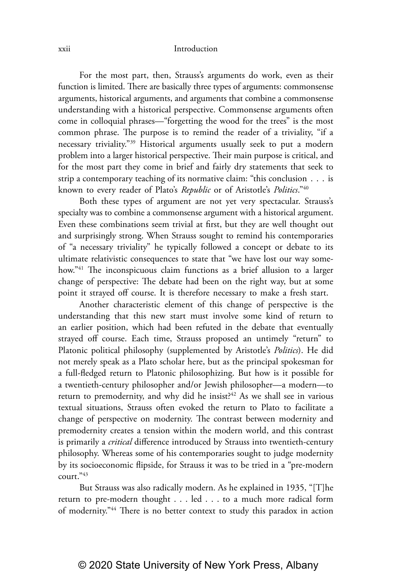#### xxii Introduction

For the most part, then, Strauss's arguments do work, even as their function is limited. There are basically three types of arguments: commonsense arguments, historical arguments, and arguments that combine a commonsense understanding with a historical perspective. Commonsense arguments often come in colloquial phrases—"forgetting the wood for the trees" is the most common phrase. The purpose is to remind the reader of a triviality, "if a necessary triviality."39 Historical arguments usually seek to put a modern problem into a larger historical perspective. Their main purpose is critical, and for the most part they come in brief and fairly dry statements that seek to strip a contemporary teaching of its normative claim: "this conclusion . . . is known to every reader of Plato's *Republic* or of Aristotle's *Politics*."40

Both these types of argument are not yet very spectacular. Strauss's specialty was to combine a commonsense argument with a historical argument. Even these combinations seem trivial at first, but they are well thought out and surprisingly strong. When Strauss sought to remind his contemporaries of "a necessary triviality" he typically followed a concept or debate to its ultimate relativistic consequences to state that "we have lost our way somehow."<sup>41</sup> The inconspicuous claim functions as a brief allusion to a larger change of perspective: The debate had been on the right way, but at some point it strayed off course. It is therefore necessary to make a fresh start.

Another characteristic element of this change of perspective is the understanding that this new start must involve some kind of return to an earlier position, which had been refuted in the debate that eventually strayed off course. Each time, Strauss proposed an untimely "return" to Platonic political philosophy (supplemented by Aristotle's *Politics*). He did not merely speak as a Plato scholar here, but as the principal spokesman for a full-fledged return to Platonic philosophizing. But how is it possible for a twentieth-century philosopher and/or Jewish philosopher—a modern—to return to premodernity, and why did he insist?<sup>42</sup> As we shall see in various textual situations, Strauss often evoked the return to Plato to facilitate a change of perspective on modernity. The contrast between modernity and premodernity creates a tension within the modern world, and this contrast is primarily a *critical* difference introduced by Strauss into twentieth-century philosophy. Whereas some of his contemporaries sought to judge modernity by its socioeconomic flipside, for Strauss it was to be tried in a "pre-modern  $\text{count}$ ."43

But Strauss was also radically modern. As he explained in 1935, "[T]he return to pre-modern thought . . . led . . . to a much more radical form of modernity."44 There is no better context to study this paradox in action

## © 2020 State University of New York Press, Albany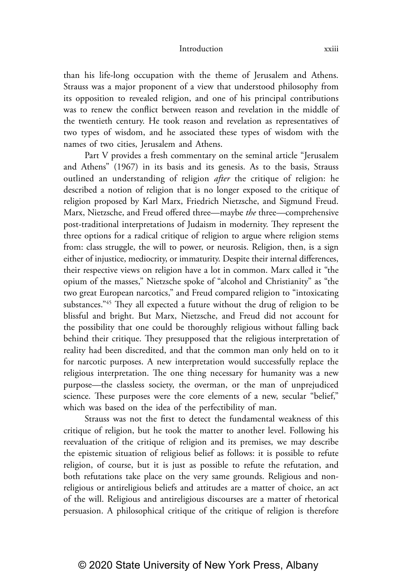#### Introduction xxiii

than his life-long occupation with the theme of Jerusalem and Athens. Strauss was a major proponent of a view that understood philosophy from its opposition to revealed religion, and one of his principal contributions was to renew the conflict between reason and revelation in the middle of the twentieth century. He took reason and revelation as representatives of two types of wisdom, and he associated these types of wisdom with the names of two cities, Jerusalem and Athens.

Part V provides a fresh commentary on the seminal article "Jerusalem and Athens" (1967) in its basis and its genesis. As to the basis, Strauss outlined an understanding of religion *after* the critique of religion: he described a notion of religion that is no longer exposed to the critique of religion proposed by Karl Marx, Friedrich Nietzsche, and Sigmund Freud. Marx, Nietzsche, and Freud offered three—maybe *the* three—comprehensive post-traditional interpretations of Judaism in modernity. They represent the three options for a radical critique of religion to argue where religion stems from: class struggle, the will to power, or neurosis. Religion, then, is a sign either of injustice, mediocrity, or immaturity. Despite their internal differences, their respective views on religion have a lot in common. Marx called it "the opium of the masses," Nietzsche spoke of "alcohol and Christianity" as "the two great European narcotics," and Freud compared religion to "intoxicating substances."45 They all expected a future without the drug of religion to be blissful and bright. But Marx, Nietzsche, and Freud did not account for the possibility that one could be thoroughly religious without falling back behind their critique. They presupposed that the religious interpretation of reality had been discredited, and that the common man only held on to it for narcotic purposes. A new interpretation would successfully replace the religious interpretation. The one thing necessary for humanity was a new purpose—the classless society, the overman, or the man of unprejudiced science. These purposes were the core elements of a new, secular "belief," which was based on the idea of the perfectibility of man.

Strauss was not the first to detect the fundamental weakness of this critique of religion, but he took the matter to another level. Following his reevaluation of the critique of religion and its premises, we may describe the epistemic situation of religious belief as follows: it is possible to refute religion, of course, but it is just as possible to refute the refutation, and both refutations take place on the very same grounds. Religious and nonreligious or antireligious beliefs and attitudes are a matter of choice, an act of the will. Religious and antireligious discourses are a matter of rhetorical persuasion. A philosophical critique of the critique of religion is therefore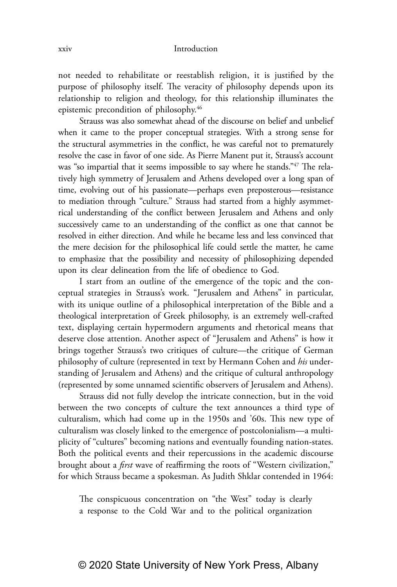not needed to rehabilitate or reestablish religion, it is justified by the purpose of philosophy itself. The veracity of philosophy depends upon its relationship to religion and theology, for this relationship illuminates the epistemic precondition of philosophy.46

Strauss was also somewhat ahead of the discourse on belief and unbelief when it came to the proper conceptual strategies. With a strong sense for the structural asymmetries in the conflict, he was careful not to prematurely resolve the case in favor of one side. As Pierre Manent put it, Strauss's account was "so impartial that it seems impossible to say where he stands."<sup>47</sup> The relatively high symmetry of Jerusalem and Athens developed over a long span of time, evolving out of his passionate—perhaps even preposterous—resistance to mediation through "culture." Strauss had started from a highly asymmetrical understanding of the conflict between Jerusalem and Athens and only successively came to an understanding of the conflict as one that cannot be resolved in either direction. And while he became less and less convinced that the mere decision for the philosophical life could settle the matter, he came to emphasize that the possibility and necessity of philosophizing depended upon its clear delineation from the life of obedience to God.

I start from an outline of the emergence of the topic and the conceptual strategies in Strauss's work. "Jerusalem and Athens" in particular, with its unique outline of a philosophical interpretation of the Bible and a theological interpretation of Greek philosophy, is an extremely well-crafted text, displaying certain hypermodern arguments and rhetorical means that deserve close attention. Another aspect of "Jerusalem and Athens" is how it brings together Strauss's two critiques of culture—the critique of German philosophy of culture (represented in text by Hermann Cohen and *his* understanding of Jerusalem and Athens) and the critique of cultural anthropology (represented by some unnamed scientific observers of Jerusalem and Athens).

Strauss did not fully develop the intricate connection, but in the void between the two concepts of culture the text announces a third type of culturalism, which had come up in the 1950s and '60s. This new type of culturalism was closely linked to the emergence of postcolonialism—a multiplicity of "cultures" becoming nations and eventually founding nation-states. Both the political events and their repercussions in the academic discourse brought about a *first* wave of reaffirming the roots of "Western civilization," for which Strauss became a spokesman. As Judith Shklar contended in 1964:

The conspicuous concentration on "the West" today is clearly a response to the Cold War and to the political organization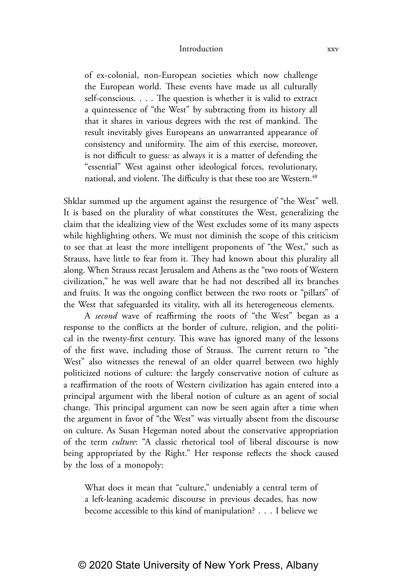### Introduction xxv

of ex-colonial, non-European societies which now challenge the European world. These events have made us all culturally self-conscious. . . . The question is whether it is valid to extract a quintessence of "the West" by subtracting from its history all that it shares in various degrees with the rest of mankind. The result inevitably gives Europeans an unwarranted appearance of consistency and uniformity. The aim of this exercise, moreover, is not difficult to guess: as always it is a matter of defending the "essential" West against other ideological forces, revolutionary, national, and violent. The difficulty is that these too are Western.<sup>48</sup>

Shklar summed up the argument against the resurgence of "the West" well. It is based on the plurality of what constitutes the West, generalizing the claim that the idealizing view of the West excludes some of its many aspects while highlighting others. We must not diminish the scope of this criticism to see that at least the more intelligent proponents of "the West," such as Strauss, have little to fear from it. They had known about this plurality all along. When Strauss recast Jerusalem and Athens as the "two roots of Western civilization," he was well aware that he had not described all its branches and fruits. It was the ongoing conflict between the two roots or "pillars" of the West that safeguarded its vitality, with all its heterogeneous elements.

A *second* wave of reaffirming the roots of "the West" began as a response to the conflicts at the border of culture, religion, and the political in the twenty-first century. This wave has ignored many of the lessons of the first wave, including those of Strauss. The current return to "the West" also witnesses the renewal of an older quarrel between two highly politicized notions of culture: the largely conservative notion of culture as a reaffirmation of the roots of Western civilization has again entered into a principal argument with the liberal notion of culture as an agent of social change. This principal argument can now be seen again after a time when the argument in favor of "the West" was virtually absent from the discourse on culture. As Susan Hegeman noted about the conservative appropriation of the term *culture*: "A classic rhetorical tool of liberal discourse is now being appropriated by the Right." Her response reflects the shock caused by the loss of a monopoly:

What does it mean that "culture," undeniably a central term of a left-leaning academic discourse in previous decades, has now become accessible to this kind of manipulation? . . . I believe we